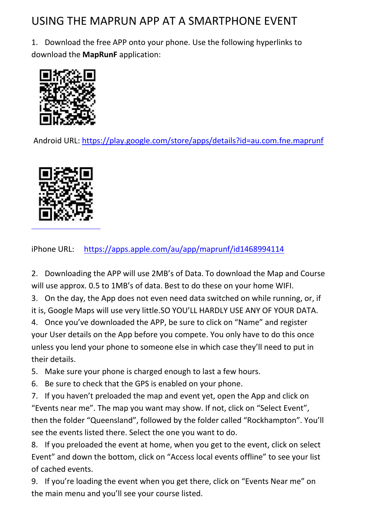## USING THE MAPRUN APP AT A SMARTPHONE EVENT

1. Download the free APP onto your phone. Use the following hyperlinks to download the **MapRunF** application:



Android URL:<https://play.google.com/store/apps/details?id=au.com.fne.maprunf>



iPhone URL: <https://apps.apple.com/au/app/maprunf/id1468994114>

2. Downloading the APP will use 2MB's of Data. To download the Map and Course will use approx. 0.5 to 1MB's of data. Best to do these on your home WIFI.

3. On the day, the App does not even need data switched on while running, or, if it is, Google Maps will use very little.SO YOU'LL HARDLY USE ANY OF YOUR DATA.

4. Once you've downloaded the APP, be sure to click on "Name" and register your User details on the App before you compete. You only have to do this once unless you lend your phone to someone else in which case they'll need to put in their details.

5. Make sure your phone is charged enough to last a few hours.

6. Be sure to check that the GPS is enabled on your phone.

7. If you haven't preloaded the map and event yet, open the App and click on "Events near me". The map you want may show. If not, click on "Select Event", then the folder "Queensland", followed by the folder called "Rockhampton". You'll see the events listed there. Select the one you want to do.

8. If you preloaded the event at home, when you get to the event, click on select Event" and down the bottom, click on "Access local events offline" to see your list of cached events.

9. If you're loading the event when you get there, click on "Events Near me" on the main menu and you'll see your course listed.